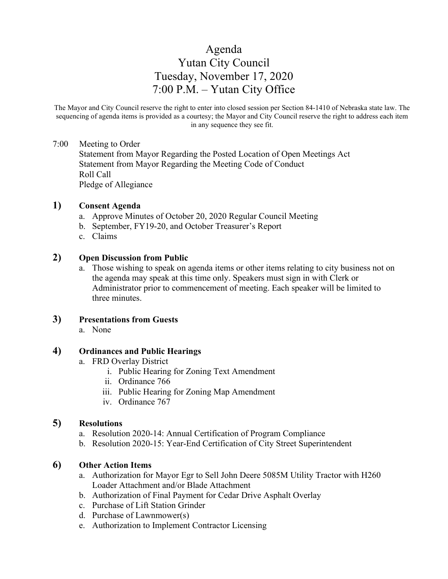# Agenda Yutan City Council Tuesday, November 17, 2020 7:00 P.M. – Yutan City Office

The Mayor and City Council reserve the right to enter into closed session per Section 84-1410 of Nebraska state law. The sequencing of agenda items is provided as a courtesy; the Mayor and City Council reserve the right to address each item in any sequence they see fit.

#### 7:00 Meeting to Order

Statement from Mayor Regarding the Posted Location of Open Meetings Act Statement from Mayor Regarding the Meeting Code of Conduct Roll Call Pledge of Allegiance

#### **1) Consent Agenda**

- a. Approve Minutes of October 20, 2020 Regular Council Meeting
- b. September, FY19-20, and October Treasurer's Report
- c. Claims

#### **2) Open Discussion from Public**

a. Those wishing to speak on agenda items or other items relating to city business not on the agenda may speak at this time only. Speakers must sign in with Clerk or Administrator prior to commencement of meeting. Each speaker will be limited to three minutes.

#### **3) Presentations from Guests**

a. None

#### **4) Ordinances and Public Hearings**

- a. FRD Overlay District
	- i. Public Hearing for Zoning Text Amendment
	- ii. Ordinance 766
	- iii. Public Hearing for Zoning Map Amendment
	- iv. Ordinance 767

## **5) Resolutions**

- a. Resolution 2020-14: Annual Certification of Program Compliance
- b. Resolution 2020-15: Year-End Certification of City Street Superintendent

#### **6) Other Action Items**

- a. Authorization for Mayor Egr to Sell John Deere 5085M Utility Tractor with H260 Loader Attachment and/or Blade Attachment
- b. Authorization of Final Payment for Cedar Drive Asphalt Overlay
- c. Purchase of Lift Station Grinder
- d. Purchase of Lawnmower(s)
- e. Authorization to Implement Contractor Licensing